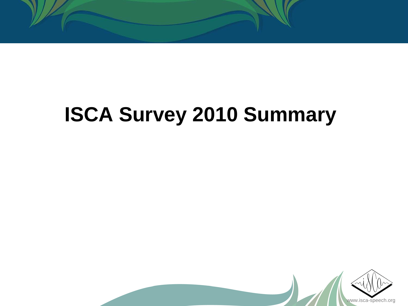

# **ISCA Survey 2010 Summary**

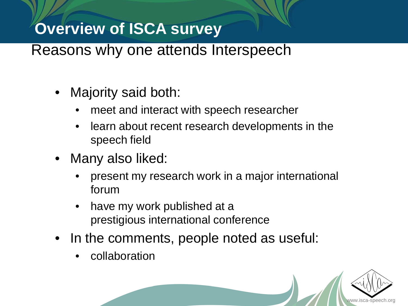#### Reasons why one attends Interspeech

- Majority said both:
	- meet and interact with speech researcher
	- learn about recent research developments in the speech field
- Many also liked:
	- present my research work in a major international forum
	- have my work published at a prestigious international conference
- In the comments, people noted as useful:
	- collaboration

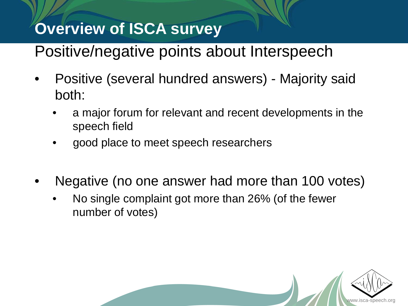# Positive/negative points about Interspeech

- Positive (several hundred answers) Majority said both:
	- a major forum for relevant and recent developments in the speech field
	- good place to meet speech researchers
- Negative (no one answer had more than 100 votes)
	- No single complaint got more than 26% (of the fewer number of votes)

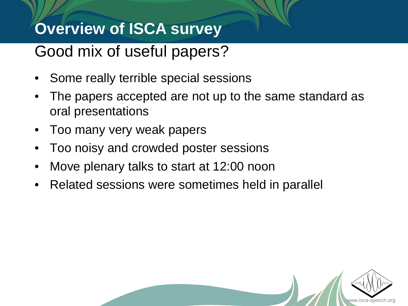# Good mix of useful papers?

- Some really terrible special sessions
- The papers accepted are not up to the same standard as oral presentations

www.isca-speech.org

- Too many very weak papers
- Too noisy and crowded poster sessions
- Move plenary talks to start at 12:00 noon
- Related sessions were sometimes held in parallel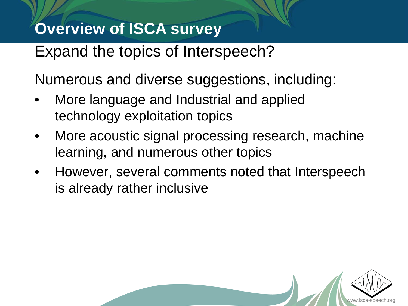Expand the topics of Interspeech?

Numerous and diverse suggestions, including:

- More language and Industrial and applied technology exploitation topics
- More acoustic signal processing research, machine learning, and numerous other topics
- However, several comments noted that Interspeech is already rather inclusive

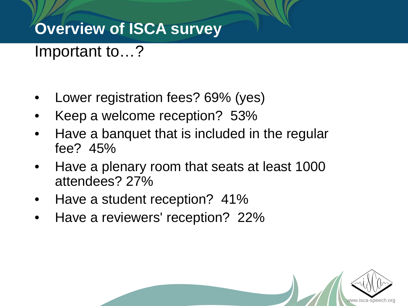Important to…?

- Lower registration fees? 69% (yes)
- Keep a welcome reception? 53%
- Have a banquet that is included in the regular fee? 45%
- Have a plenary room that seats at least 1000 attendees? 27%
- Have a student reception? 41%
- Have a reviewers' reception? 22%

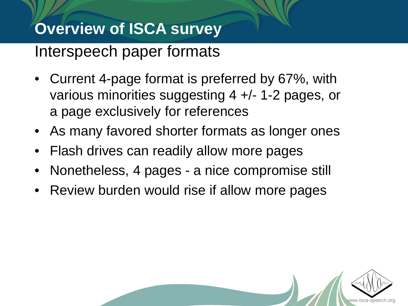#### Interspeech paper formats

- Current 4-page format is preferred by 67%, with various minorities suggesting 4 +/- 1-2 pages, or a page exclusively for references
- As many favored shorter formats as longer ones
- Flash drives can readily allow more pages
- Nonetheless, 4 pages a nice compromise still
- Review burden would rise if allow more pages

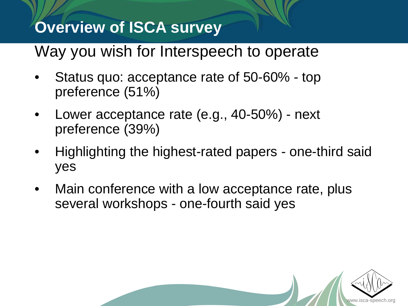#### Way you wish for Interspeech to operate

- Status quo: acceptance rate of 50-60% top preference (51%)
- Lower acceptance rate (e.g., 40-50%) next preference (39%)
- Highlighting the highest-rated papers one-third said yes
- Main conference with a low acceptance rate, plus several workshops - one-fourth said yes

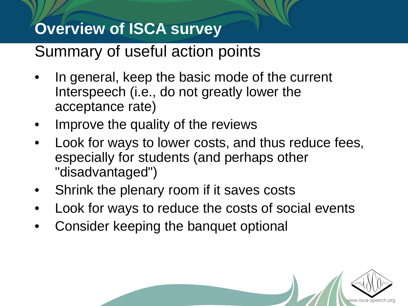#### Summary of useful action points

- In general, keep the basic mode of the current Interspeech (i.e., do not greatly lower the acceptance rate)
- Improve the quality of the reviews
- Look for ways to lower costs, and thus reduce fees, especially for students (and perhaps other "disadvantaged")
- Shrink the plenary room if it saves costs
- Look for ways to reduce the costs of social events
- Consider keeping the banquet optional